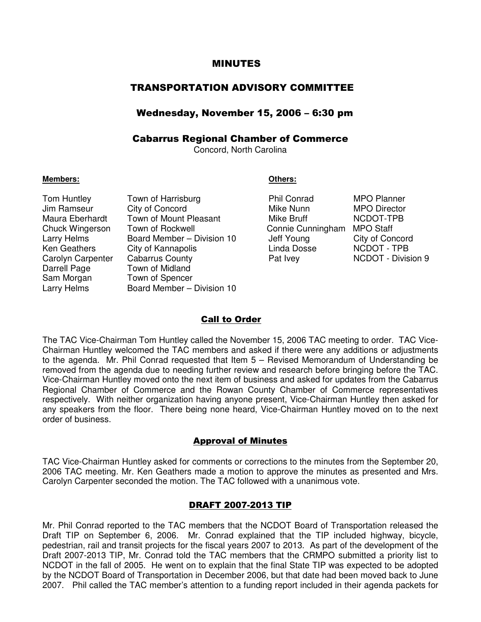### MINUTES

# TRANSPORTATION ADVISORY COMMITTEE

# Wednesday, November 15, 2006 – 6:30 pm

# Cabarrus Regional Chamber of Commerce

Concord, North Carolina

#### **Members: Others:**

| Tom Huntley       | Town of Harrisburg         | <b>Phil Conrad</b> | <b>MPO Planner</b>  |
|-------------------|----------------------------|--------------------|---------------------|
| Jim Ramseur       | City of Concord            | Mike Nunn          | <b>MPO Director</b> |
| Maura Eberhardt   | Town of Mount Pleasant     | Mike Bruff         | NCDOT-TPB           |
| Chuck Wingerson   | Town of Rockwell           | Connie Cunningham  | <b>MPO Staff</b>    |
| Larry Helms       | Board Member - Division 10 | Jeff Young         | City of Concord     |
| Ken Geathers      | City of Kannapolis         | Linda Dosse        | NCDOT - TPB         |
| Carolyn Carpenter | <b>Cabarrus County</b>     | Pat Ivey           | NCDOT - Division 9  |
| Darrell Page      | Town of Midland            |                    |                     |
| Sam Morgan        | Town of Spencer            |                    |                     |
| Larry Helms       | Board Member - Division 10 |                    |                     |

| Phil Conrad       |
|-------------------|
| Mike Nunn         |
| Mike Bruff        |
| Connie Cunningham |
| Jeff Young        |
| Linda Dosse       |
| Pat Ivev          |

#### Call to Order

The TAC Vice-Chairman Tom Huntley called the November 15, 2006 TAC meeting to order. TAC Vice-Chairman Huntley welcomed the TAC members and asked if there were any additions or adjustments to the agenda. Mr. Phil Conrad requested that Item 5 – Revised Memorandum of Understanding be removed from the agenda due to needing further review and research before bringing before the TAC. Vice-Chairman Huntley moved onto the next item of business and asked for updates from the Cabarrus Regional Chamber of Commerce and the Rowan County Chamber of Commerce representatives respectively. With neither organization having anyone present, Vice-Chairman Huntley then asked for any speakers from the floor. There being none heard, Vice-Chairman Huntley moved on to the next order of business.

#### Approval of Minutes

TAC Vice-Chairman Huntley asked for comments or corrections to the minutes from the September 20, 2006 TAC meeting. Mr. Ken Geathers made a motion to approve the minutes as presented and Mrs. Carolyn Carpenter seconded the motion. The TAC followed with a unanimous vote.

## DRAFT 2007-2013 TIP

Mr. Phil Conrad reported to the TAC members that the NCDOT Board of Transportation released the Draft TIP on September 6, 2006. Mr. Conrad explained that the TIP included highway, bicycle, pedestrian, rail and transit projects for the fiscal years 2007 to 2013. As part of the development of the Draft 2007-2013 TIP, Mr. Conrad told the TAC members that the CRMPO submitted a priority list to NCDOT in the fall of 2005. He went on to explain that the final State TIP was expected to be adopted by the NCDOT Board of Transportation in December 2006, but that date had been moved back to June 2007. Phil called the TAC member's attention to a funding report included in their agenda packets for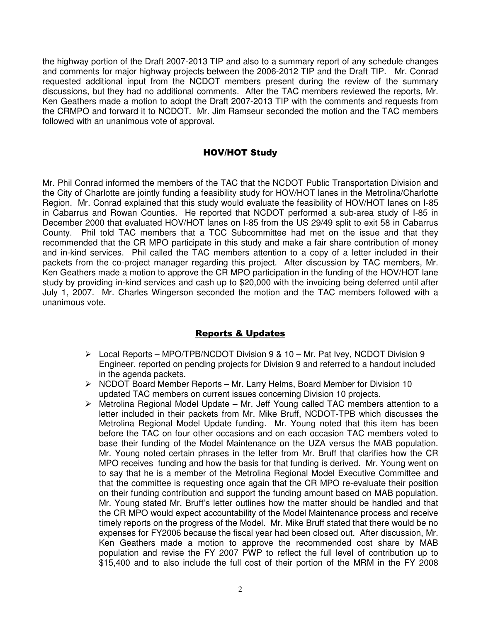the highway portion of the Draft 2007-2013 TIP and also to a summary report of any schedule changes and comments for major highway projects between the 2006-2012 TIP and the Draft TIP. Mr. Conrad requested additional input from the NCDOT members present during the review of the summary discussions, but they had no additional comments. After the TAC members reviewed the reports, Mr. Ken Geathers made a motion to adopt the Draft 2007-2013 TIP with the comments and requests from the CRMPO and forward it to NCDOT. Mr. Jim Ramseur seconded the motion and the TAC members followed with an unanimous vote of approval.

## HOV/HOT Study

Mr. Phil Conrad informed the members of the TAC that the NCDOT Public Transportation Division and the City of Charlotte are jointly funding a feasibility study for HOV/HOT lanes in the Metrolina/Charlotte Region. Mr. Conrad explained that this study would evaluate the feasibility of HOV/HOT lanes on I-85 in Cabarrus and Rowan Counties. He reported that NCDOT performed a sub-area study of I-85 in December 2000 that evaluated HOV/HOT lanes on I-85 from the US 29/49 split to exit 58 in Cabarrus County. Phil told TAC members that a TCC Subcommittee had met on the issue and that they recommended that the CR MPO participate in this study and make a fair share contribution of money and in-kind services. Phil called the TAC members attention to a copy of a letter included in their packets from the co-project manager regarding this project. After discussion by TAC members, Mr. Ken Geathers made a motion to approve the CR MPO participation in the funding of the HOV/HOT lane study by providing in-kind services and cash up to \$20,000 with the invoicing being deferred until after July 1, 2007. Mr. Charles Wingerson seconded the motion and the TAC members followed with a unanimous vote.

# Reports & Updates

- $\triangleright$  Local Reports MPO/TPB/NCDOT Division 9 & 10 Mr. Pat Ivey, NCDOT Division 9 Engineer, reported on pending projects for Division 9 and referred to a handout included in the agenda packets.
- $\triangleright$  NCDOT Board Member Reports Mr. Larry Helms, Board Member for Division 10 updated TAC members on current issues concerning Division 10 projects.
- Metrolina Regional Model Update Mr. Jeff Young called TAC members attention to a letter included in their packets from Mr. Mike Bruff, NCDOT-TPB which discusses the Metrolina Regional Model Update funding. Mr. Young noted that this item has been before the TAC on four other occasions and on each occasion TAC members voted to base their funding of the Model Maintenance on the UZA versus the MAB population. Mr. Young noted certain phrases in the letter from Mr. Bruff that clarifies how the CR MPO receives funding and how the basis for that funding is derived. Mr. Young went on to say that he is a member of the Metrolina Regional Model Executive Committee and that the committee is requesting once again that the CR MPO re-evaluate their position on their funding contribution and support the funding amount based on MAB population. Mr. Young stated Mr. Bruff's letter outlines how the matter should be handled and that the CR MPO would expect accountability of the Model Maintenance process and receive timely reports on the progress of the Model. Mr. Mike Bruff stated that there would be no expenses for FY2006 because the fiscal year had been closed out. After discussion, Mr. Ken Geathers made a motion to approve the recommended cost share by MAB population and revise the FY 2007 PWP to reflect the full level of contribution up to \$15,400 and to also include the full cost of their portion of the MRM in the FY 2008